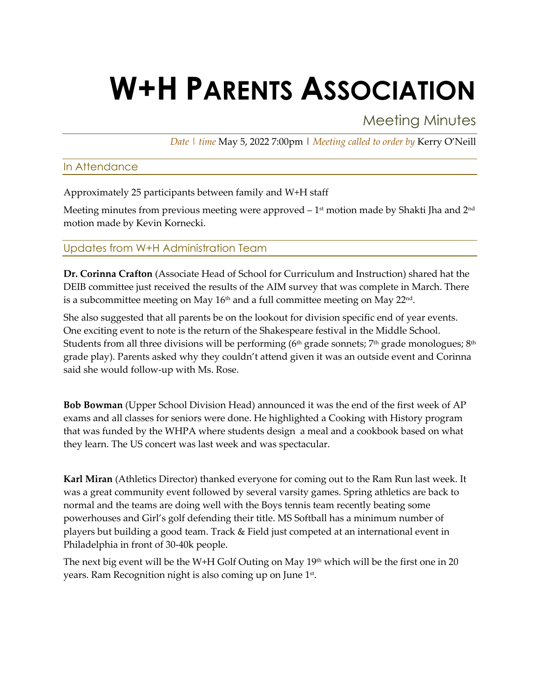# **W+H PARENTS ASSOCIATION**

Meeting Minutes

*Date | time* May 5, 2022 7:00pm | *Meeting called to order by* Kerry O'Neill

#### In Attendance

Approximately 25 participants between family and W+H staff

Meeting minutes from previous meeting were approved  $-1<sup>st</sup>$  motion made by Shakti Jha and  $2<sup>nd</sup>$ motion made by Kevin Kornecki.

## Updates from W+H Administration Team

**Dr. Corinna Crafton** (Associate Head of School for Curriculum and Instruction) shared hat the DEIB committee just received the results of the AIM survey that was complete in March. There is a subcommittee meeting on May 16<sup>th</sup> and a full committee meeting on May 22<sup>nd</sup>.

She also suggested that all parents be on the lookout for division specific end of year events. One exciting event to note is the return of the Shakespeare festival in the Middle School. Students from all three divisions will be performing ( $6<sup>th</sup>$  grade sonnets;  $7<sup>th</sup>$  grade monologues;  $8<sup>th</sup>$ grade play). Parents asked why they couldn't attend given it was an outside event and Corinna said she would follow-up with Ms. Rose.

**Bob Bowman** (Upper School Division Head) announced it was the end of the first week of AP exams and all classes for seniors were done. He highlighted a Cooking with History program that was funded by the WHPA where students design a meal and a cookbook based on what they learn. The US concert was last week and was spectacular.

**Karl Miran** (Athletics Director) thanked everyone for coming out to the Ram Run last week. It was a great community event followed by several varsity games. Spring athletics are back to normal and the teams are doing well with the Boys tennis team recently beating some powerhouses and Girl's golf defending their title. MS Softball has a minimum number of players but building a good team. Track & Field just competed at an international event in Philadelphia in front of 30-40k people.

The next big event will be the W+H Golf Outing on May 19<sup>th</sup> which will be the first one in 20 years. Ram Recognition night is also coming up on June 1<sup>st</sup>.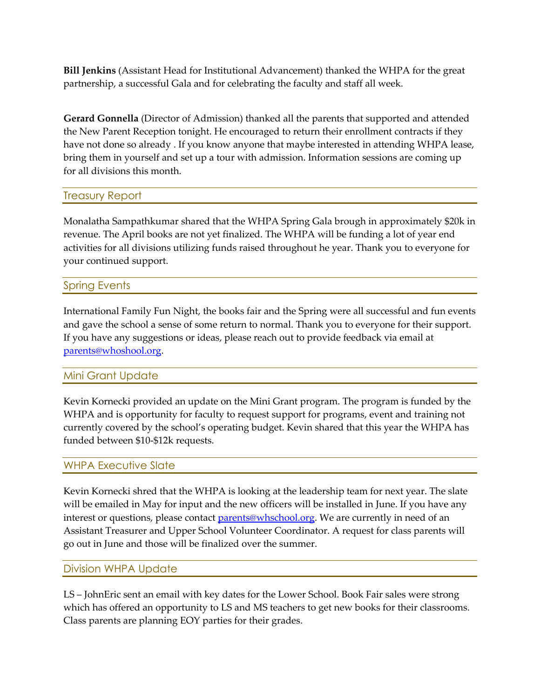**Bill Jenkins** (Assistant Head for Institutional Advancement) thanked the WHPA for the great partnership, a successful Gala and for celebrating the faculty and staff all week.

**Gerard Gonnella** (Director of Admission) thanked all the parents that supported and attended the New Parent Reception tonight. He encouraged to return their enrollment contracts if they have not done so already . If you know anyone that maybe interested in attending WHPA lease, bring them in yourself and set up a tour with admission. Information sessions are coming up for all divisions this month.

#### Treasury Report

Monalatha Sampathkumar shared that the WHPA Spring Gala brough in approximately \$20k in revenue. The April books are not yet finalized. The WHPA will be funding a lot of year end activities for all divisions utilizing funds raised throughout he year. Thank you to everyone for your continued support.

#### Spring Events

International Family Fun Night, the books fair and the Spring were all successful and fun events and gave the school a sense of some return to normal. Thank you to everyone for their support. If you have any suggestions or ideas, please reach out to provide feedback via email at parents@whoshool.org.

#### Mini Grant Update

Kevin Kornecki provided an update on the Mini Grant program. The program is funded by the WHPA and is opportunity for faculty to request support for programs, event and training not currently covered by the school's operating budget. Kevin shared that this year the WHPA has funded between \$10-\$12k requests.

#### WHPA Executive Slate

Kevin Kornecki shred that the WHPA is looking at the leadership team for next year. The slate will be emailed in May for input and the new officers will be installed in June. If you have any interest or questions, please contact parents@whschool.org. We are currently in need of an Assistant Treasurer and Upper School Volunteer Coordinator. A request for class parents will go out in June and those will be finalized over the summer.

#### Division WHPA Update

LS – JohnEric sent an email with key dates for the Lower School. Book Fair sales were strong which has offered an opportunity to LS and MS teachers to get new books for their classrooms. Class parents are planning EOY parties for their grades.